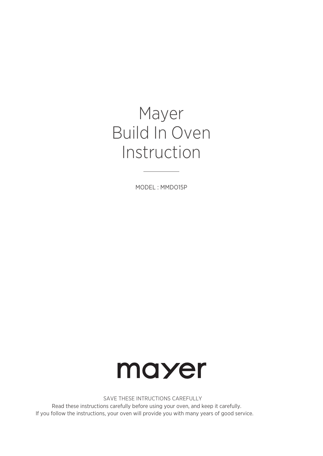# Mayer Build In Oven Instruction

MODEL : MMDO15P



SAVE THESE INTRUCTIONS CAREFULLY

Read these instructions carefully before using your oven, and keep it carefully. If you follow the instructions, your oven will provide you with many years of good service.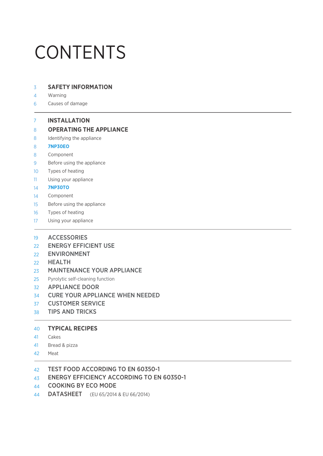# CONTENTS

- 3 **SAFETY INFORMATION**
- 4 Warning
- 6 Causes of damage

#### 7 **INSTALLATION**

#### 8 **OPERATING THE APPLIANCE**

- 8 Identifying the appliance
- 8 **7NP30EO**
- 8 Component
- 9 Before using the appliance
- 10 Types of heating
- 11 Using your appliance
- 14 **7NP30TO**
- 14 Component
- 15 Before using the appliance
- 16 Types of heating
- 17 Using your appliance
- 19 ACCESSORIES
- 22 ENERGY EFFICIENT USE
- $22$ ENVIRONMENT
- 22 HEALTH
- 23 MAINTENANCE YOUR APPLIANCE
- 25 Pyrolytic self-cleaning function
- APPLIANCE DOOR 32
- CURE YOUR APPLIANCE WHEN NEEDED 34
- CUSTOMER SERVICE 37
- TIPS AND TRICKS 38

#### **TYPICAL RECIPES** 40

- Cakes 41
- Bread & pizza 41
- Meat 42

#### TEST FOOD ACCORDING TO EN 60350-1 42

- ENERGY EFFICIENCY ACCORDING TO EN 60350-1 43
- COOKING BY ECO MODE 44
- DATASHEET (EU 65/2014 & EU 66/2014) 44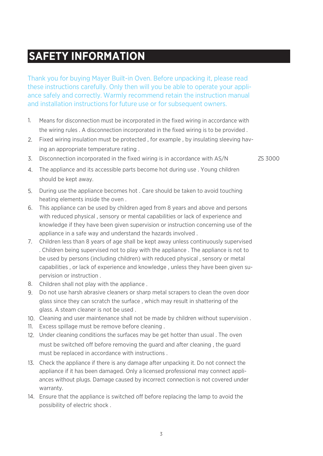### **SAFETY INFORMATION**

Thank you for buying Mayer Built-in Oven. Before unpacking it, please read these instructions carefully. Only then will you be able to operate your appliance safely and correctly. Warmly recommend retain the instruction manual and installation instructions for future use or for subsequent owners.

- Means for disconnection must be incorporated in the fixed wiring in accordance with the wiring rules . A disconnection incorporated in the fixed wiring is to be provided . 1.
- Fixed wiring insulation must be protected , for example , by insulating sleeving hav-2. ing an appropriate temperature rating .
- 3. Disconnection incorporated in the fixed wiring is in accordance with AS/N  $\sim$  ZS 3000

- The appliance and its accessible parts become hot during use . Young children 4. should be kept away.
- 5. During use the appliance becomes hot . Care should be taken to avoid touching heating elements inside the oven .
- This appliance can be used by children aged from 8 years and above and persons 6. with reduced physical , sensory or mental capabilities or lack of experience and knowledge if they have been given supervision or instruction concerning use of the appliance in a safe way and understand the hazards involved .
- Children less than 8 years of age shall be kept away unless continuously supervised 7. . Children being supervised not to play with the appliance . The appliance is not to be used by persons (including children) with reduced physical , sensory or metal capabilities , or lack of experience and knowledge , unless they have been given supervision or instruction .
- Children shall not play with the appliance . 8.
- Do not use harsh abrasive cleaners or sharp metal scrapers to clean the oven door 9. glass since they can scratch the surface , which may result in shattering of the glass. A steam cleaner is not be used .
- Cleaning and user maintenance shall not be made by children without supervision . 10.
- Excess spillage must be remove before cleaning . 11.
- Under cleaning conditions the surfaces may be get hotter than usual . The oven 12. must be switched off before removing the guard and after cleaning, the guard must be replaced in accordance with instructions .
- Check the appliance if there is any damage after unpacking it. Do not connect the 13. appliance if it has been damaged. Only a licensed professional may connect appliances without plugs. Damage caused by incorrect connection is not covered under warranty.
- 14. Ensure that the appliance is switched off before replacing the lamp to avoid the possibility of electric shock .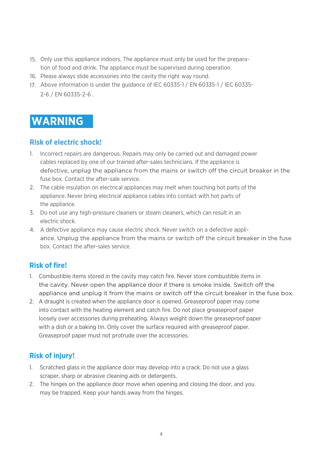- 15. Only use this appliance indoors. The appliance must only be used for the preparation of food and drink. The appliance must be supervised during operation.
- 16. Please always slide accessories into the cavity the right way round.
- Above information is under the guidance of IEC 60335-1 / EN 60335-1 / IEC 60335- 17.2-6 / EN 60335-2-6 .

### **WARNING**

#### **Risk of electric shock!**

- Incorrect repairs are dangerous. Repairs may only be carried out and damaged power 1. cables replaced by one of our trained after-sales technicians. If the appliance is defective, unplug the appliance from the mains or switch off the circuit breaker in the fuse box. Contact the after-sale service.
- The cable insulation on electrical appliances may melt when touching hot parts of the 2. appliance. Never bring electrical appliance cables into contact with hot parts of the appliance.
- Do not use any high-pressure cleaners or steam cleaners, which can result in an 3. electric shock.
- A defective appliance may cause electric shock. Never switch on a defective appli-4. ance. Unplug the appliance from the mains or switch off the circuit breaker in the fuse box. Contact the after-sales service.

#### **Risk of fire!**

- 1. Combustible items stored in the cavity may catch fire. Never store combustible items in the cavity. Never open the appliance door if there is smoke inside. Switch off the appliance and unplug it from the mains or switch off the circuit breaker in the fuse box.
- 2. A draught is created when the appliance door is opened. Greaseproof paper may come into contact with the heating element and catch fire. Do not place greaseproof paper loosely over accessories during preheating. Always weight down the greaseproof paper with a dish or a baking tin. Only cover the surface required with greaseproof paper. Greaseproof paper must not protrude over the accessories.

#### **Risk of injury!**

- Scratched glass in the appliance door may develop into a crack. Do not use a glass 1. scraper, sharp or abrasive cleaning aids or detergents.
- The hinges on the appliance door move when opening and closing the door, and you 2. may be trapped. Keep your hands away from the hinges.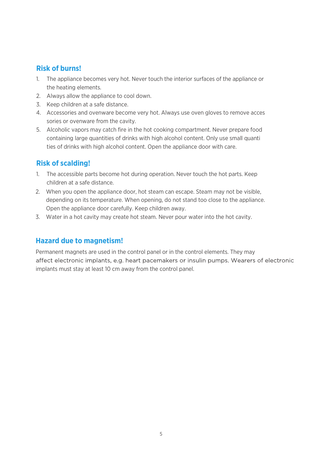#### **Risk of burns!**

- The appliance becomes very hot. Never touch the interior surfaces of the appliance or 1. the heating elements.
- Always allow the appliance to cool down. 2.
- 3. Keep children at a safe distance.
- Accessories and ovenware become very hot. Always use oven gloves to remove acces 4. sories or ovenware from the cavity.
- Alcoholic vapors may catch fire in the hot cooking compartment. Never prepare food 5.containing large quantities of drinks with high alcohol content. Only use small quanti ties of drinks with high alcohol content. Open the appliance door with care.

#### **Risk of scalding!**

- 1. The accessible parts become hot during operation. Never touch the hot parts. Keep children at a safe distance.
- When you open the appliance door, hot steam can escape. Steam may not be visible, 2. depending on its temperature. When opening, do not stand too close to the appliance. Open the appliance door carefully. Keep children away.
- Water in a hot cavity may create hot steam. Never pour water into the hot cavity. 3.

#### **Hazard due to magnetism!**

Permanent magnets are used in the control panel or in the control elements. They may affect electronic implants, e.g. heart pacemakers or insulin pumps. Wearers of electronic implants must stay at least 10 cm away from the control panel.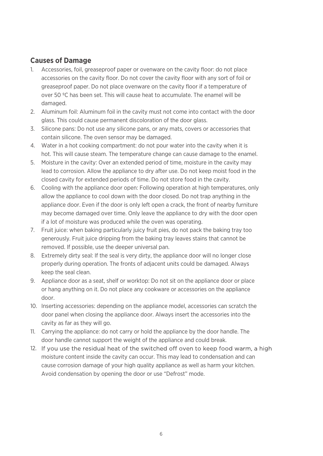#### **Causes of Damage**

- Accessories, foil, greaseproof paper or ovenware on the cavity floor: do not place 1. accessories on the cavity floor. Do not cover the cavity floor with any sort of foil or greaseproof paper. Do not place ovenware on the cavity floor if a temperature of over 50 ºC has been set. This will cause heat to accumulate. The enamel will be damaged.
- Aluminum foil: Aluminum foil in the cavity must not come into contact with the door 2. glass. This could cause permanent discoloration of the door glass.
- 3. Silicone pans: Do not use any silicone pans, or any mats, covers or accessories that contain silicone. The oven sensor may be damaged.
- Water in a hot cooking compartment: do not pour water into the cavity when it is 4. hot. This will cause steam. The temperature change can cause damage to the enamel.
- Moisture in the cavity: Over an extended period of time, moisture in the cavity may 5. lead to corrosion. Allow the appliance to dry after use. Do not keep moist food in the closed cavity for extended periods of time. Do not store food in the cavity.
- Cooling with the appliance door open: Following operation at high temperatures, only 6. allow the appliance to cool down with the door closed. Do not trap anything in the appliance door. Even if the door is only left open a crack, the front of nearby furniture may become damaged over time. Only leave the appliance to dry with the door open if a lot of moisture was produced while the oven was operating.
- Fruit juice: when baking particularly juicy fruit pies, do not pack the baking tray too 7. generously. Fruit juice dripping from the baking tray leaves stains that cannot be removed. If possible, use the deeper universal pan.
- Extremely dirty seal: If the seal is very dirty, the appliance door will no longer close 8. properly during operation. The fronts of adjacent units could be damaged. Always keep the seal clean.
- Appliance door as a seat, shelf or worktop: Do not sit on the appliance door or place 9. or hang anything on it. Do not place any cookware or accessories on the appliance door.
- 10. Inserting accessories: depending on the appliance model, accessories can scratch the door panel when closing the appliance door. Always insert the accessories into the cavity as far as they will go.
- Carrying the appliance: do not carry or hold the appliance by the door handle. The 11. door handle cannot support the weight of the appliance and could break.
- moisture content inside the cavity can occur. This may lead to condensation and can cause corrosion damage of your high quality appliance as well as harm your kitchen. Avoid condensation by opening the door or use "Defrost" mode. 12. If you use the residual heat of the switched off oven to keep food warm, a high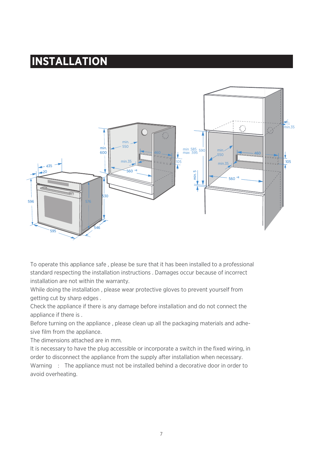### **INSTALLATION**



To operate this appliance safe , please be sure that it has been installed to a professional standard respecting the installation instructions . Damages occur because of incorrect installation are not within the warranty.

While doing the installation , please wear protective gloves to prevent yourself from getting cut by sharp edges .

Check the appliance if there is any damage before installation and do not connect the appliance if there is .

Before turning on the appliance , please clean up all the packaging materials and adhesive film from the appliance.

The dimensions attached are in mm.

It is necessary to have the plug accessible or incorporate a switch in the fixed wiring, in order to disconnect the appliance from the supply after installation when necessary. Warning : The appliance must not be installed behind a decorative door in order to avoid overheating.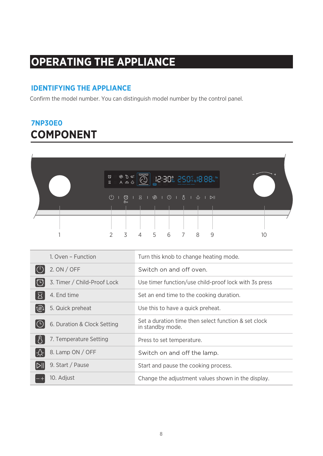### **OPERATING THE APPLIANCE**

#### **IDENTIFYING THE APPLIANCE**

Confirm the model number. You can distinguish model number by the control panel.

### **COMPONENT 7NP30E0**

| $\begin{array}{c} \mathbb{Q} \equiv \mathbb{Q} \;\; \mathbb{Q} \; \mathbb{Q} \cr \Xi \;\; \mathbb{R} \;\; \mathbb{A} \; \Delta \; \Delta \; \mathbb{Q} \end{array}$ | $\mathbb{R}$ $\circ$ $\mathbb{R}$ | $ \overline{\widetilde{\mathbb{O}}} $ |                 | 88:38% 868% 18.88% |   |   |  |
|---------------------------------------------------------------------------------------------------------------------------------------------------------------------|-----------------------------------|---------------------------------------|-----------------|--------------------|---|---|--|
|                                                                                                                                                                     | ₿з                                |                                       |                 |                    |   |   |  |
|                                                                                                                                                                     |                                   |                                       |                 |                    |   |   |  |
| $\mathcal{P}$                                                                                                                                                       | $\overline{5}$                    | $\overline{4}$                        | $5\overline{)}$ | 6 7                | 8 | q |  |

| 1. Oven - Function                            | Turn this knob to change heating mode.                                   |
|-----------------------------------------------|--------------------------------------------------------------------------|
| 2. ON / OFF                                   | Switch on and off oven.                                                  |
| 3. Timer / Child-Proof Lock                   | Use timer function/use child-proof lock with 3s press                    |
| 4. End time                                   | Set an end time to the cooking duration.                                 |
| 5. Quick preheat<br>$\left(\mathbb{R}\right)$ | Use this to have a quick preheat.                                        |
| 6. Duration & Clock Setting                   | Set a duration time then select function & set clock<br>in standby mode. |
| 7. Temperature Setting                        | Press to set temperature.                                                |
| 8. Lamp ON / OFF                              | Switch on and off the lamp.                                              |
| 9. Start / Pause                              | Start and pause the cooking process.                                     |
| 10. Adjust                                    | Change the adjustment values shown in the display.                       |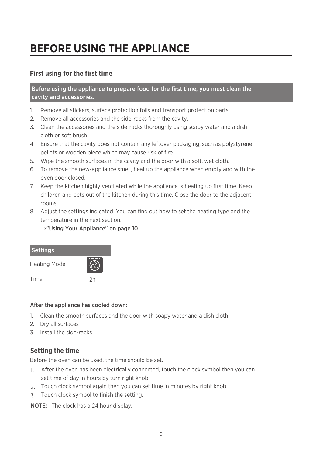## **BEFORE USING THE APPLIANCE**

#### **First using for the first time**

Before using the appliance to prepare food for the first time, you must clean the cavity and accessories.

- Remove all stickers, surface protection foils and transport protection parts. 1.
- 2. Remove all accessories and the side-racks from the cavity.
- Clean the accessories and the side-racks thoroughly using soapy water and a dish 3. cloth or soft brush.
- Ensure that the cavity does not contain any leftover packaging, such as polystyrene 4. pellets or wooden piece which may cause risk of fire.
- Wipe the smooth surfaces in the cavity and the door with a soft, wet cloth. 5.
- To remove the new-appliance smell, heat up the appliance when empty and with the 6. oven door closed.
- 7. Keep the kitchen highly ventilated while the appliance is heating up first time. Keep children and pets out of the kitchen during this time. Close the door to the adjacent rooms.
- Adjust the settings indicated. You can find out how to set the heating type and the 8. temperature in the next section.

→"Using Your Appliance" on page 10

| <b>Settings</b>     |    |
|---------------------|----|
| <b>Heating Mode</b> |    |
| Time                | 2h |

#### After the appliance has cooled down:

- Clean the smooth surfaces and the door with soapy water and a dish cloth. 1.
- 2. Dry all surfaces
- 3. Install the side-racks

#### **Setting the time**

Before the oven can be used, the time should be set.

- After the oven has been electrically connected, touch the clock symbol then you can 1. set time of day in hours by turn right knob.
- Touch clock symbol again then you can set time in minutes by right knob. 2.
- Touch clock symbol to finish the setting. 3.

NOTE: The clock has a 24 hour display.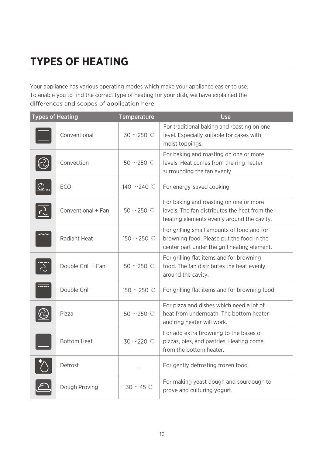# **TYPES OF HEATING**

Your appliance has various operating modes which make your appliance easier to use. To enable you to find the correct type of heating for your dish, we have explained the differences and scopes of application here.

| <b>Types of Heating</b> |                    | <b>Temperature</b> | <b>Use</b>                                                                                                                              |
|-------------------------|--------------------|--------------------|-----------------------------------------------------------------------------------------------------------------------------------------|
|                         | Conventional       | $30 \sim 250$ C    | For traditional baking and roasting on one<br>level. Especially suitable for cakes with<br>moist toppings.                              |
|                         | Convection         | $50 \sim 250$ C    | For baking and roasting on one or more<br>levels. Heat comes from the ring heater<br>surrounding the fan evenly.                        |
| $\bigodot$ and          | ECO                | 140 $\sim$ 240 °C  | For energy-saved cooking.                                                                                                               |
|                         | Conventional + Fan | $50 \sim 250$ C    | For baking and roasting on one or more<br>levels. The fan distributes the heat from the<br>heating elements evenly around the cavity.   |
|                         | Radiant Heat       | 150 ~250 °C        | For grilling small amounts of food and for<br>browning food. Please put the food in the<br>center part under the grill heating element. |
|                         | Double Grill + Fan | 50 $\sim$ 250 °C   | For grilling flat items and for browning<br>food. The fan distributes the heat evenly<br>around the cavity.                             |
|                         | Double Grill       | 150 ~250 °C        | For grilling flat items and for browning food.                                                                                          |
|                         | Pizza              | 50 $\sim$ 250 °C   | For pizza and dishes which need a lot of<br>heat from underneath. The bottom heater<br>and ring heater will work.                       |
|                         | <b>Bottom Heat</b> | $30 \sim 220$ C    | For add extra browning to the bases of<br>pizzas, pies, and pastries. Heating come<br>from the bottom heater.                           |
|                         | Defrost            |                    | For gently defrosting frozen food.                                                                                                      |
|                         | Dough Proving      | $30 \sim 45$ C     | For making yeast dough and sourdough to<br>prove and culturing yogurt.                                                                  |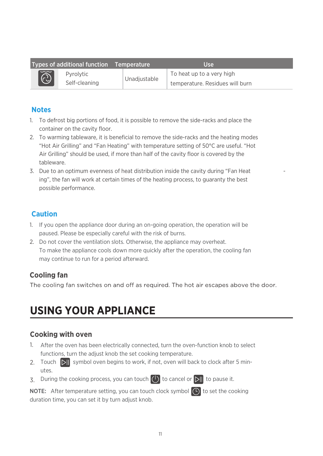|                          | Types of additional function Temperature |              | Use                             |
|--------------------------|------------------------------------------|--------------|---------------------------------|
| $ \widetilde{\bigodot} $ | Pyrolytic                                |              | To heat up to a very high       |
|                          | Self-cleaning                            | Unadiustable | temperature. Residues will burn |

#### **Notes**

- 1. To defrost big portions of food, it is possible to remove the side-racks and place the container on the cavity floor.
- 2. To warming tableware, it is beneficial to remove the side-racks and the heating modes "Hot Air Grilling" and "Fan Heating" with temperature setting of 50°C are useful. "Hot Air Grilling" should be used, if more than half of the cavity floor is covered by the tableware.
- 3. Due to an optimum evenness of heat distribution inside the cavity during "Fan Heat -------------ing", the fan will work at certain times of the heating process, to guaranty the best possible performance.

#### **Caution**

- 1. If you open the appliance door during an on-going operation, the operation will be paused. Please be especially careful with the risk of burns.
- 2. Do not cover the ventilation slots. Otherwise, the appliance may overheat. To make the appliance cools down more quickly after the operation, the cooling fan may continue to run for a period afterward.

#### **Cooling fan**

The cooling fan switches on and off as required. The hot air escapes above the door.

### **USING YOUR APPLIANCE**

#### **Cooking with oven**

- 1. After the oven has been electrically connected, turn the oven-function knob to select functions, turn the adjust knob the set cooking temperature.
- 2. Touch  $\| \triangleright \|$  symbol oven begins to work, if not, oven will back to clock after 5 minutes.
- 3. During the cooking process, you can touch  $\bigcirc$  to cancel or  $\triangleright$  to pause it.

**NOTE:** After temperature setting, you can touch clock symbol  $\left(\begin{matrix} 1 \end{matrix}\right)$  to set the cooking duration time, you can set it by turn adjust knob.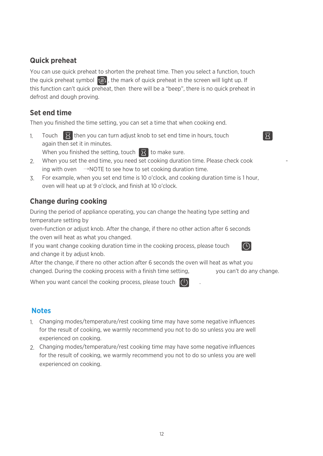#### **Quick preheat**

You can use quick preheat to shorten the preheat time. Then you select a function, touch the quick preheat symbol  $\langle \varphi \rangle$ , the mark of quick preheat in the screen will light up. If this function can't quick preheat, then there will be a "beep", there is no quick preheat in defrost and dough proving.

#### **Set end time**

Then you finished the time setting, you can set a time that when cooking end.

1. Touch  $\overline{X}$  then you can turn adjust knob to set end time in hours, touch again then set it in minutes.

When you finished the setting, touch  $\overline{X}$  to make sure.

- 2. When you set the end time, you need set cooking duration time. Please check cook  $\sim$ ing with oven  $\rightarrow$ NOTE to see how to set cooking duration time.
- 3. For example, when you set end time is 10 o'clock, and cooking duration time is 1 hour, oven will heat up at 9 o'clock, and finish at 10 o'clock.

#### **Change during cooking**

During the period of appliance operating, you can change the heating type setting and temperature setting by

oven-function or adjust knob. After the change, if there no other action after 6 seconds the oven will heat as what you changed.

If you want change cooking duration time in the cooking process, please touch and change it by adjust knob.

After the change, if there no other action after 6 seconds the oven will heat as what you changed. During the cooking process with a finish time setting, you can't do any change.

When you want cancel the cooking process, please touch  $\begin{pmatrix} 1 \end{pmatrix}$ 

#### **Notes**

- 1. Changing modes/temperature/rest cooking time may have some negative influences for the result of cooking, we warmly recommend you not to do so unless you are well experienced on cooking.
- 2. Changing modes/temperature/rest cooking time may have some negative influences for the result of cooking, we warmly recommend you not to do so unless you are well experienced on cooking.



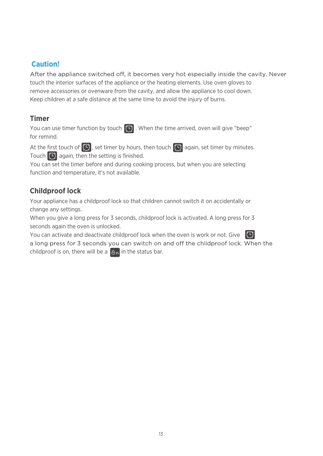### **Caution!**

After the appliance switched off, it becomes very hot especially inside the cavity. Never touch the interior surfaces of the appliance or the heating elements. Use oven gloves to remove accessories or ovenware from the cavity, and allow the appliance to cool down. Keep children at a safe distance at the same time to avoid the injury of burns.

#### **Timer**

You can use timer function by touch  $\left(\widehat{\mathbb{C}}\right)$ . When the time arrived, oven will give "beep" for remind.

At the first touch of  $\bigodot$ , set timer by hours, then touch  $\bigodot$  again, set timer by minutes. Touch  $\left( \widehat{\mathbf{C}}\right)$  again, then the setting is finished.

You can set the timer before and during cooking process, but when you are selecting function and temperature, it's not available.

### **Childproof lock**

Your appliance has a childproof lock so that children cannot switch it on accidentally or change any settings.

When you give a long press for 3 seconds, childproof lock is activated. A long press for 3 seconds again the oven is unlocked.

You can activate and deactivate childproof lock when the oven is work or not. Give  $\bigcirc$ a long press for 3 seconds you can switch on and off the childproof lock. When the childproof is on, there will be a  $\theta_{\text{ps}}$  in the status bar.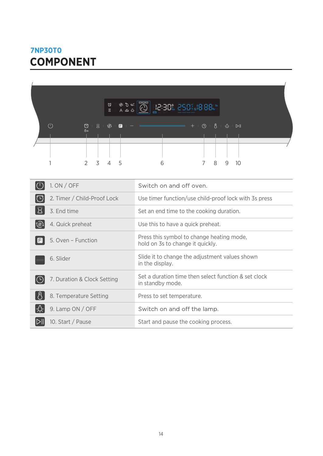### **COMPONENT 7NP30T0**

|                               |                               |               | $\frac{\mathbb{Q}}{\mathbb{Z}}$   | $A \triangleq \hat{A}$ | $\widetilde{\mathbb{C}}$ | 18:38% 898%18.88%       |                                                                |   |    |  |  |
|-------------------------------|-------------------------------|---------------|-----------------------------------|------------------------|--------------------------|-------------------------|----------------------------------------------------------------|---|----|--|--|
| (1)                           | $\circledcirc$<br>$\Theta$ as | 工区<br>2 3 4 5 | $\mathbb{R}^n$ and $\mathbb{R}^n$ |                        | 6                        |                         | $+$ $+$ $\circ$ $+$ $\circ$ $+$ $\circ$ $+$ $\circ$ $+$<br>7 8 | 9 | 10 |  |  |
| $\vert(\cdot)$<br>1. ON / OFF |                               |               |                                   |                        |                          | Switch on and off oven. |                                                                |   |    |  |  |

| $$ $$ $$ $$ $$              |                                                                               |
|-----------------------------|-------------------------------------------------------------------------------|
| 2. Timer / Child-Proof Lock | Use timer function/use child-proof lock with 3s press                         |
| 3. End time                 | Set an end time to the cooking duration.                                      |
| 4. Quick preheat<br> @)     | Use this to have a quick preheat.                                             |
| 5. Oven - Function<br>LFI   | Press this symbol to change heating mode,<br>hold on 3s to change it quickly. |
| 6. Slider                   | Slide it to change the adjustment values shown<br>in the display.             |
| 7. Duration & Clock Setting | Set a duration time then select function & set clock<br>in standby mode.      |
| 8. Temperature Setting      | Press to set temperature.                                                     |
| 9. Lamp ON / OFF            | Switch on and off the lamp.                                                   |
| 10. Start / Pause           | Start and pause the cooking process.                                          |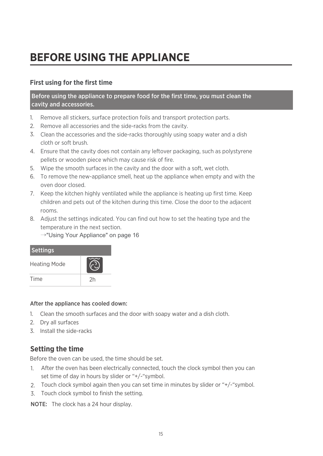## **BEFORE USING THE APPLIANCE**

#### **First using for the first time**

Before using the appliance to prepare food for the first time, you must clean the cavity and accessories.

- 1. Remove all stickers, surface protection foils and transport protection parts.
- 2. Remove all accessories and the side-racks from the cavity.
- Clean the accessories and the side-racks thoroughly using soapy water and a dish 3. cloth or soft brush.
- Ensure that the cavity does not contain any leftover packaging, such as polystyrene 4. pellets or wooden piece which may cause risk of fire.
- Wipe the smooth surfaces in the cavity and the door with a soft, wet cloth. 5.
- To remove the new-appliance smell, heat up the appliance when empty and with the 6. oven door closed.
- 7. Keep the kitchen highly ventilated while the appliance is heating up first time. Keep children and pets out of the kitchen during this time. Close the door to the adjacent rooms.
- Adjust the settings indicated. You can find out how to set the heating type and the 8. temperature in the next section.
	- →"Using Your Appliance" on page 16



#### After the appliance has cooled down:

- Clean the smooth surfaces and the door with soapy water and a dish cloth. 1.
- 2. Dry all surfaces
- 3. Install the side-racks

#### **Setting the time**

Before the oven can be used, the time should be set.

- After the oven has been electrically connected, touch the clock symbol then you can 1. set time of day in hours by slider or "+/-"symbol.
- Touch clock symbol again then you can set time in minutes by slider or "+/-"symbol. 2.
- 3. Touch clock symbol to finish the setting.

NOTE: The clock has a 24 hour display.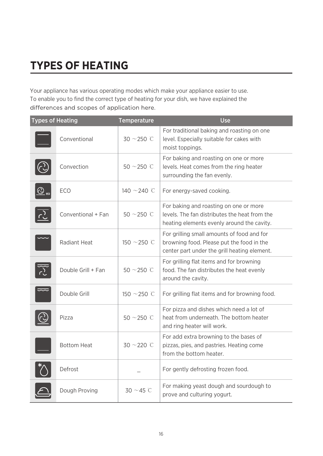# **TYPES OF HEATING**

Your appliance has various operating modes which make your appliance easier to use. To enable you to find the correct type of heating for your dish, we have explained the differences and scopes of application here.

| <b>Types of Heating</b> |                    | <b>Temperature</b> | <b>Use</b>                                                                                                                              |
|-------------------------|--------------------|--------------------|-----------------------------------------------------------------------------------------------------------------------------------------|
|                         | Conventional       | $30 \sim 250$ C    | For traditional baking and roasting on one<br>level. Especially suitable for cakes with<br>moist toppings.                              |
|                         | Convection         | $50$ ~250 °C       | For baking and roasting on one or more<br>levels. Heat comes from the ring heater<br>surrounding the fan evenly.                        |
| $2_{\omega}$            | ECO                | 140 $\sim$ 240 °C  | For energy-saved cooking.                                                                                                               |
|                         | Conventional + Fan | 50 $\sim$ 250 °C   | For baking and roasting on one or more<br>levels. The fan distributes the heat from the<br>heating elements evenly around the cavity.   |
|                         | Radiant Heat       | 150 $\sim$ 250 °C  | For grilling small amounts of food and for<br>browning food. Please put the food in the<br>center part under the grill heating element. |
|                         | Double Grill + Fan | 50 $\sim$ 250 °C   | For grilling flat items and for browning<br>food. The fan distributes the heat evenly<br>around the cavity.                             |
|                         | Double Grill       | 150 $\sim$ 250 °C  | For grilling flat items and for browning food.                                                                                          |
|                         | Pizza              | 50 $\sim$ 250 °C   | For pizza and dishes which need a lot of<br>heat from underneath. The bottom heater<br>and ring heater will work.                       |
|                         | <b>Bottom Heat</b> | $30 \sim 220$ C    | For add extra browning to the bases of<br>pizzas, pies, and pastries. Heating come<br>from the bottom heater.                           |
|                         | Defrost            |                    | For gently defrosting frozen food.                                                                                                      |
|                         | Dough Proving      | 30 $\sim$ 45 °C    | For making yeast dough and sourdough to<br>prove and culturing yogurt.                                                                  |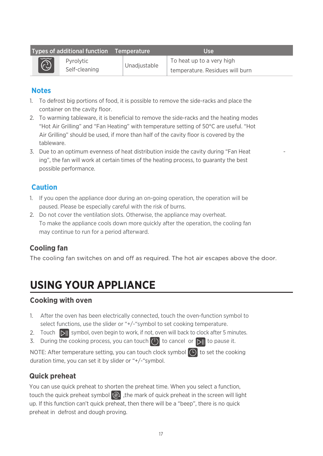|                          | Types of additional function Temperature |              | Use                                                          |
|--------------------------|------------------------------------------|--------------|--------------------------------------------------------------|
| $ \widetilde{\bigodot} $ | Pyrolytic<br>Self-cleaning               | Unadiustable | To heat up to a very high<br>temperature. Residues will burn |

#### **Notes**

- 1. To defrost big portions of food, it is possible to remove the side-racks and place the container on the cavity floor.
- 2. To warming tableware, it is beneficial to remove the side-racks and the heating modes "Hot Air Grilling" and "Fan Heating" with temperature setting of 50°C are useful. "Hot Air Grilling" should be used, if more than half of the cavity floor is covered by the tableware.
- 3. Due to an optimum evenness of heat distribution inside the cavity during "Fan Heat -------------ing", the fan will work at certain times of the heating process, to guaranty the best possible performance.

#### **Caution**

- 1. If you open the appliance door during an on-going operation, the operation will be paused. Please be especially careful with the risk of burns.
- 2. Do not cover the ventilation slots. Otherwise, the appliance may overheat. To make the appliance cools down more quickly after the operation, the cooling fan may continue to run for a period afterward.

### **Cooling fan**

The cooling fan switches on and off as required. The hot air escapes above the door.

### **USING YOUR APPLIANCE**

#### **Cooking with oven**

- 1. After the oven has been electrically connected, touch the oven-function symbol to select functions, use the slider or "+/-"symbol to set cooking temperature.
- 2. Touch  $\|v\|$  symbol, oven begin to work, if not, oven will back to clock after 5 minutes.
- 3. During the cooking process, you can touch  $\binom{1}{k}$  to cancel or  $\frac{1}{k}$  to pause it.

NOTE: After temperature setting, you can touch clock symbol  $\Box$  to set the cooking duration time, you can set it by slider or "+/-"symbol.

### **Quick preheat**

You can use quick preheat to shorten the preheat time. When you select a function, touch the quick preheat symbol  $\binom{n}{k}$ , the mark of quick preheat in the screen will light up. If this function can't quick preheat, then there will be a "beep", there is no quick preheat in defrost and dough proving.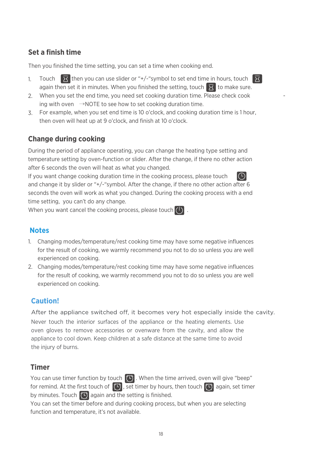#### **Set a finish time**

Then you finished the time setting, you can set a time when cooking end.

- Touch  $\sqrt{X}$  then you can use slider or "+/-"symbol to set end time in hours, touch  $\sqrt{X}$ again then set it in minutes. When you finished the setting, touch  $\overline{X}$  to make sure. 1.
- 2. When you set the end time, you need set cooking duration time. Please check cook  $\sim$ ing with oven  $\rightarrow$ NOTE to see how to set cooking duration time.
- For example, when you set end time is 10 o'clock, and cooking duration time is 1 hour, 3. then oven will heat up at 9 o'clock, and finish at 10 o'clock.

#### **Change during cooking**

During the period of appliance operating, you can change the heating type setting and temperature setting by oven-function or slider. After the change, if there no other action after 6 seconds the oven will heat as what you changed.

If you want change cooking duration time in the cooking process, please touch and change it by slider or "+/-"symbol. After the change, if there no other action after 6 seconds the oven will work as what you changed. During the cooking process with a end time setting, you can't do any change.

When you want cancel the cooking process, please touch  $\left(\cdot\right)$ .

#### **Notes**

- 1. Changing modes/temperature/rest cooking time may have some negative influences for the result of cooking, we warmly recommend you not to do so unless you are well experienced on cooking.
- 2. Changing modes/temperature/rest cooking time may have some negative influences for the result of cooking, we warmly recommend you not to do so unless you are well experienced on cooking.

#### **Caution!**

After the appliance switched off, it becomes very hot especially inside the cavity. Never touch the interior surfaces of the appliance or the heating elements. Use oven gloves to remove accessories or ovenware from the cavity, and allow the appliance to cool down. Keep children at a safe distance at the same time to avoid the injury of burns.

#### **Timer**

You can use timer function by touch  $\left(\widehat{P}\right)$ . When the time arrived, oven will give "beep" for remind. At the first touch of  $[0]$ , set timer by hours, then touch  $[0]$  again, set timer by minutes. Touch  $\left(\widehat{\mathbb{C}}\right)$  again and the setting is finished.

You can set the timer before and during cooking process, but when you are selecting function and temperature, it's not available.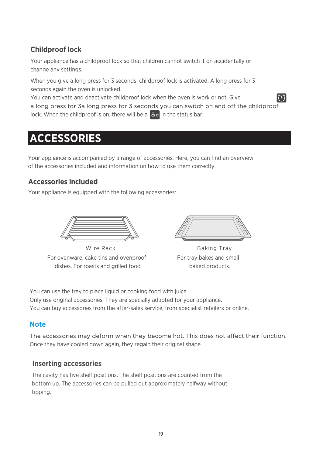### **Childproof lock**

Your appliance has a childproof lock so that children cannot switch it on accidentally or change any settings.

When you give a long press for 3 seconds, childproof lock is activated. A long press for 3 seconds again the oven is unlocked.

You can activate and deactivate childproof lock when the oven is work or not. Give a long press for 3a long press for 3 seconds you can switch on and off the childproof lock. When the childproof is on, there will be a  $\theta_{\text{gs}}$  in the status bar.

### **ACCESSORIES**

Your appliance is accompanied by a range of accessories. Here, you can find an overview of the accessories included and information on how to use them correctly.

#### **Accessories included**

Your appliance is equipped with the following accessories:



For ovenware, cake tins and ovenproof dishes. For roasts and grilled food Wire Rack Baking Tray

For tray bakes and small baked products.

You can use the tray to place liquid or cooking food with juice. Only use original accessories. They are specially adapted for your appliance. You can buy accessories from the after-sales service, from specialist retailers or online.

#### **Note**

The accessories may deform when they become hot. This does not affect their function. Once they have cooled down again, they regain their original shape.

#### **Inserting accessories**

The cavity has five shelf positions. The shelf positions are counted from the bottom up. The accessories can be pulled out approximately halfway without tipping.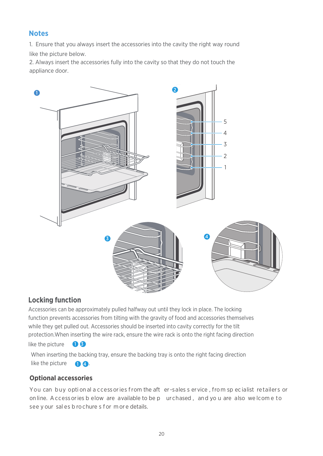#### **Notes**

1. Ensure that you always insert the accessories into the cavity the right way round like the picture below.

2. Always insert the accessories fully into the cavity so that they do not touch the appliance door.



#### **Locking function**

Accessories can be approximately pulled halfway out until they lock in place. The locking function prevents accessories from tilting with the gravity of food and accessories themselves while they get pulled out. Accessories should be inserted into cavity correctly for the tilt protection.When inserting the wire rack, ensure the wire rack is onto the right facing direction

like the picture  $\bigcirc$  3

When inserting the backing tray, ensure the backing tray is onto the right facing direction like the picture  $\bigcirc$  4.

#### **Optional accessories**

You can buy opti on al a ccess ories from the aft er-sales s ervice, from sp ec ialist retailers or on line. A ccess or ies b elow are available to be pure tased, and yo u are also we lcome to see y our sal es b ro chure s f or m or e details.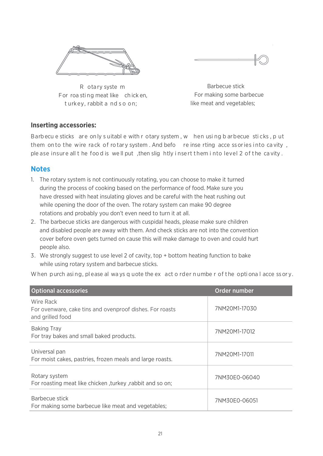



 R ota ry syste m For roa sti ng meat like ch ick en, t urkey, rabbit a nd s o on;

 Barbecue stick For making some barbecue like meat and vegetables;

#### **Inserting accessories:**

Barb ecu e sticks are on ly s uitabl e with r otary system , w hen usi ng b arbecue sti cks , p ut them on to the wire rack of rotary system. And befo reinse rting acce ssories into cavity, ple ase insure all the food is well put, then slightly insert them into level 2 of the cavity.

#### **Notes**

- 1. The rotary system is not continuously rotating, you can choose to make it turned during the process of cooking based on the performance of food. Make sure you have dressed with heat insulating gloves and be careful with the heat rushing out while opening the door of the oven. The rotary system can make 90 degree rotations and probably you don't even need to turn it at all.
- 2. The barbecue sticks are dangerous with cuspidal heads, please make sure children and disabled people are away with them. And check sticks are not into the convention cover before oven gets turned on cause this will make damage to oven and could hurt people also.
- 3. We strongly suggest to use level 2 of cavity, top + bottom heating function to bake while using rotary system and barbecue sticks.

When purch asing, please al ways q uote the ex act o rder number of the optional acce ssory.

| <b>Optional accessories</b>                                                               | Order number  |
|-------------------------------------------------------------------------------------------|---------------|
| Wire Rack<br>For ovenware, cake tins and ovenproof dishes. For roasts<br>and grilled food | 7NM20M1-17030 |
| <b>Baking Tray</b><br>For tray bakes and small baked products.                            | 7NM20M1-17012 |
| Universal pan<br>For moist cakes, pastries, frozen meals and large roasts.                | 7NM20M1-17011 |
| Rotary system<br>For roasting meat like chicken, turkey, rabbit and so on;                | 7NM30E0-06040 |
| Barbecue stick<br>For making some barbecue like meat and vegetables;                      | 7NM30E0-06051 |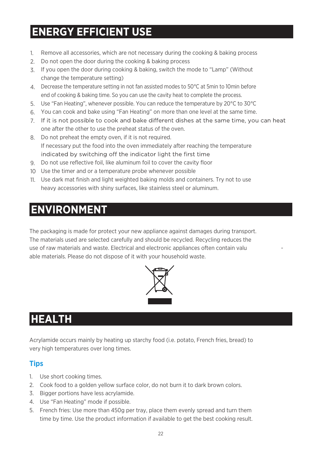## **ENERGY EFFICIENT USE**

- Remove all accessories, which are not necessary during the cooking & baking process 1.
- Do not open the door during the cooking & baking process 2.
- If you open the door during cooking & baking, switch the mode to "Lamp" (Without 3. change the temperature setting)
- Decrease the temperature setting in not fan assisted modes to 50°C at 5min to 10min before 4. end of cooking & baking time. So you can use the cavity heat to complete the process.
- 5. Use "Fan Heating", whenever possible. You can reduce the temperature by 20°C to 30°C
- You can cook and bake using "Fan Heating" on more than one level at the same time. 6.
- one after the other to use the preheat status of the oven. 7. If it is not possible to cook and bake different dishes at the same time, you can heat
- Do not preheat the empty oven, if it is not required. 8. If necessary put the food into the oven immediately after reaching the temperature indicated by switching off the indicator light the first time
- Do not use reflective foil, like aluminum foil to cover the cavity floor 9.
- Use the timer and or a temperature probe whenever possible 10
- Use dark mat finish and light weighted baking molds and containers. Try not to use 11. heavy accessories with shiny surfaces, like stainless steel or aluminum.

### **ENVIRONMENT**

The packaging is made for protect your new appliance against damages during transport. The materials used are selected carefully and should be recycled. Recycling reduces the use of raw materials and waste. Electrical and electronic appliances often contain valu able materials. Please do not dispose of it with your household waste.



### **HEALTH**

Acrylamide occurs mainly by heating up starchy food (i.e. potato, French fries, bread) to very high temperatures over long times.

#### **Tips**

- 1. Use short cooking times.
- 2. Cook food to a golden yellow surface color, do not burn it to dark brown colors.
- 3. Bigger portions have less acrylamide.
- 4. Use "Fan Heating" mode if possible.
- 5. French fries: Use more than 450g per tray, place them evenly spread and turn them time by time. Use the product information if available to get the best cooking result.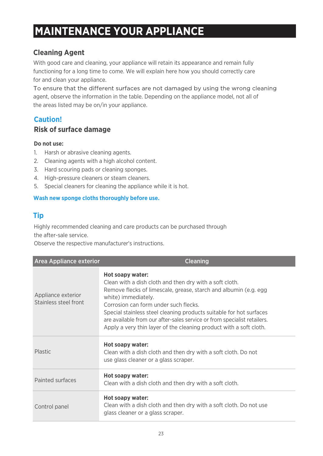### **MAINTENANCE YOUR APPLIANCE**

### **Cleaning Agent**

With good care and cleaning, your appliance will retain its appearance and remain fully functioning for a long time to come. We will explain here how you should correctly care for and clean your appliance.

To ensure that the different surfaces are not damaged by using the wrong cleaning agent, observe the information in the table. Depending on the appliance model, not all of the areas listed may be on/in your appliance.

### **Caution!**

#### **Risk of surface damage**

#### **Do not use:**

- 1. Harsh or abrasive cleaning agents.
- 2. Cleaning agents with a high alcohol content.
- 3. Hard scouring pads or cleaning sponges.
- 4. High-pressure cleaners or steam cleaners.
- 5. Special cleaners for cleaning the appliance while it is hot.

#### **Wash new sponge cloths thoroughly before use.**

### **Tip**

Highly recommended cleaning and care products can be purchased through

the after-sale service.

Observe the respective manufacturer's instructions.

| <b>Area Appliance exterior</b>              | <b>Cleaning</b>                                                                                                                                                                                                                                                                                                                                                                                                                           |
|---------------------------------------------|-------------------------------------------------------------------------------------------------------------------------------------------------------------------------------------------------------------------------------------------------------------------------------------------------------------------------------------------------------------------------------------------------------------------------------------------|
| Appliance exterior<br>Stainless steel front | Hot soapy water:<br>Clean with a dish cloth and then dry with a soft cloth.<br>Remove flecks of limescale, grease, starch and albumin (e.g. egg)<br>white) immediately.<br>Corrosion can form under such flecks.<br>Special stainless steel cleaning products suitable for hot surfaces<br>are available from our after-sales service or from specialist retailers.<br>Apply a very thin layer of the cleaning product with a soft cloth. |
| <b>Plastic</b>                              | Hot soapy water:<br>Clean with a dish cloth and then dry with a soft cloth. Do not<br>use glass cleaner or a glass scraper.                                                                                                                                                                                                                                                                                                               |
| Painted surfaces                            | Hot soapy water:<br>Clean with a dish cloth and then dry with a soft cloth.                                                                                                                                                                                                                                                                                                                                                               |
| Control panel                               | Hot soapy water:<br>Clean with a dish cloth and then dry with a soft cloth. Do not use<br>glass cleaner or a glass scraper.                                                                                                                                                                                                                                                                                                               |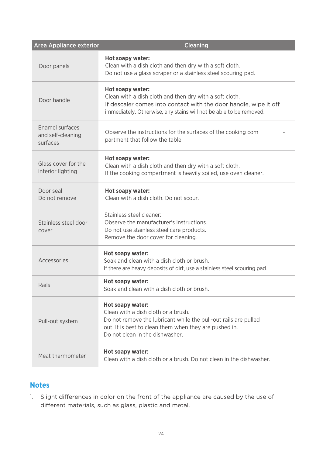| <b>Area Appliance exterior</b>                   | <b>Cleaning</b>                                                                                                                                                                                                         |
|--------------------------------------------------|-------------------------------------------------------------------------------------------------------------------------------------------------------------------------------------------------------------------------|
| Door panels                                      | Hot soapy water:<br>Clean with a dish cloth and then dry with a soft cloth.<br>Do not use a glass scraper or a stainless steel scouring pad.                                                                            |
| Door handle                                      | Hot soapy water:<br>Clean with a dish cloth and then dry with a soft cloth.<br>If descaler comes into contact with the door handle, wipe it off<br>immediately. Otherwise, any stains will not be able to be removed.   |
| Enamel surfaces<br>and self-cleaning<br>surfaces | Observe the instructions for the surfaces of the cooking com<br>partment that follow the table.                                                                                                                         |
| Glass cover for the<br>interior lighting         | Hot soapy water:<br>Clean with a dish cloth and then dry with a soft cloth.<br>If the cooking compartment is heavily soiled, use oven cleaner.                                                                          |
| Door seal<br>Do not remove                       | Hot soapy water:<br>Clean with a dish cloth. Do not scour.                                                                                                                                                              |
| Stainless steel door<br>cover                    | Stainless steel cleaner:<br>Observe the manufacturer's instructions.<br>Do not use stainless steel care products.<br>Remove the door cover for cleaning.                                                                |
| Accessories                                      | Hot soapy water:<br>Soak and clean with a dish cloth or brush.<br>If there are heavy deposits of dirt, use a stainless steel scouring pad.                                                                              |
| Rails                                            | Hot soapy water:<br>Soak and clean with a dish cloth or brush.                                                                                                                                                          |
| Pull-out system                                  | Hot soapy water:<br>Clean with a dish cloth or a brush.<br>Do not remove the lubricant while the pull-out rails are pulled<br>out. It is best to clean them when they are pushed in.<br>Do not clean in the dishwasher. |
| Meat thermometer                                 | Hot soapy water:<br>Clean with a dish cloth or a brush. Do not clean in the dishwasher.                                                                                                                                 |

#### **Notes**

1. Slight differences in color on the front of the appliance are caused by the use of different materials, such as glass, plastic and metal.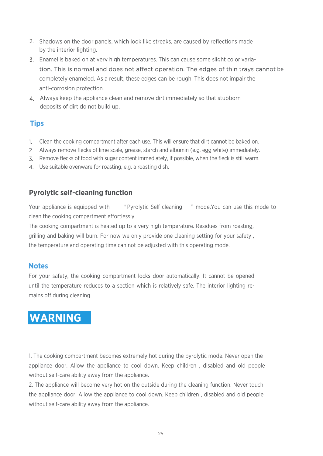- 2. Shadows on the door panels, which look like streaks, are caused by reflections made by the interior lighting.
- 3. Enamel is baked on at very high temperatures. This can cause some slight color variation. This is normal and does not affect operation. The edges of thin trays cannot be completely enameled. As a result, these edges can be rough. This does not impair the anti-corrosion protection.
- 4. Always keep the appliance clean and remove dirt immediately so that stubborn deposits of dirt do not build up.

### **Tips**

- 1. Clean the cooking compartment after each use. This will ensure that dirt cannot be baked on.
- 2. Always remove flecks of lime scale, grease, starch and albumin (e.g. egg white) immediately.
- 3. Remove flecks of food with sugar content immediately, if possible, when the fleck is still warm.
- 4. Use suitable ovenware for roasting, e.g. a roasting dish.

### **Pyrolytic self-cleaning function**

Your appliance is equipped with "Pyrolytic Self-cleaning " mode.You can use this mode to clean the cooking compartment effortlessly.

The cooking compartment is heated up to a very high temperature. Residues from roasting, grilling and baking will burn. For now we only provide one cleaning setting for your safety , the temperature and operating time can not be adjusted with this operating mode.

#### **Notes**

For your safety, the cooking compartment locks door automatically. It cannot be opened until the temperature reduces to a section which is relatively safe. The interior lighting remains off during cleaning.

### **WARNING**

1. The cooking compartment becomes extremely hot during the pyrolytic mode. Never open the appliance door. Allow the appliance to cool down. Keep children , disabled and old people without self-care ability away from the appliance.

2. The appliance will become very hot on the outside during the cleaning function. Never touch the appliance door. Allow the appliance to cool down. Keep children , disabled and old people without self-care ability away from the appliance.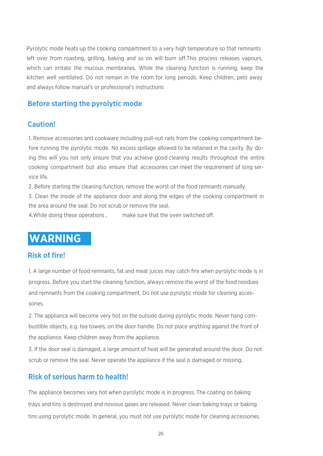

Pyrolytic mode heats up the cooking compartment to a very high temperature so that remnants left over from roasting, grilling, baking and so on will burn off. This process releases vapours, which can irritate the mucous membranes. While the cleaning function is running, keep the kitchen well ventilated. Do not remain in the room for long periods. Keep children, pets away and always follow manual's or professional's instructions

#### **Before starting the pyrolytic mode**

#### **Caution!**

1. Remove accessories and cookware including pull-out rails from the cooking compartment before running the pyrolytic mode. No excess spillage allowed to be retained in the cavity. By doing this will you not only ensure that you achieve good cleaning results throughout the entire cooking compartment but also ensure that accessories can meet the requirement of long service life.

2. Before starting the cleaning function, remove the worst of the food remnants manually.

3. Clean the inside of the appliance door and along the edges of the cooking compartment in the area around the seal. Do not scrub or remove the seal.

4. While doing these operations , make sure that the oven switched off.

### **WARNING**

#### **Risk of fire!**

1. A large number of food remnants, fat and meat juices may catch fire when pyrolytic mode is in progress. Before you start the cleaning function, always remove the worst of the food residues and remnants from the cooking compartment. Do not use pyrolytic mode for cleaning accessories.

2. The appliance will become very hot on the outside during pyrolytic mode. Never hang combustible objects, e.g. tea towels, on the door handle. Do not place anything against the front of the appliance. Keep children away from the appliance.

3. If the door seal is damaged, a large amount of heat will be generated around the door. Do not scrub or remove the seal. Never operate the appliance if the seal is damaged or missing.

#### **Risk of serious harm to health!**

The appliance becomes very hot when pyrolytic mode is in progress. The coating on baking trays and tins is destroyed and noxious gases are released. Never clean baking trays or baking tins using pyrolytic mode. In general, you must not use pyrolytic mode for cleaning accessories.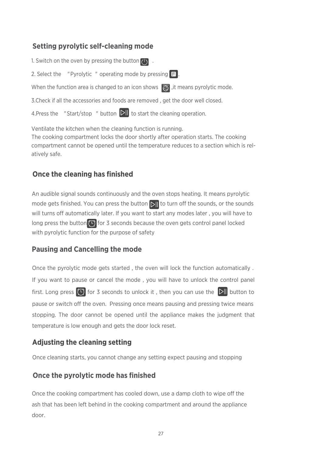#### **Setting pyrolytic self-cleaning mode**

1. Switch on the oven by pressing the button  $\overline{(\cdot)}$ . 2. Select the "Pyrolytic" operating mode by pressing  $\boxed{\mathsf{F}}$ . When the function area is changed to an icon shows  $\delta$ , it means pyrolytic mode. 3.Check if all the accessories and foods are removed , get the door well closed. 4. Press the "Start/stop" button  $\Delta$ , to start the cleaning operation.

Ventilate the kitchen when the cleaning function is running. The cooking compartment locks the door shortly after operation starts. The cooking compartment cannot be opened until the temperature reduces to a section which is relatively safe.

#### **Once the cleaning has finished**

An audible signal sounds continuously and the oven stops heating. It means pyrolytic mode gets finished. You can press the button  $\sum ||$  to turn off the sounds, or the sounds will turns off automatically later. If you want to start any modes later, you will have to long press the button  $\circled{1}$  for 3 seconds because the oven gets control panel locked with pyrolytic function for the purpose of safety

#### **Pausing and Cancelling the mode**

Once the pyrolytic mode gets started , the oven will lock the function automatically . If you want to pause or cancel the mode , you will have to unlock the control panel first. Long press  $\left(\widehat{\Gamma}\right)$  for 3 seconds to unlock it, then you can use the  $\left\|{\lambda}\right\|$  button to pause or switch off the oven. Pressing once means pausing and pressing twice means stopping. The door cannot be opened until the appliance makes the judgment that temperature is low enough and gets the door lock reset.

#### **Adjusting the cleaning setting**

Once cleaning starts, you cannot change any setting expect pausing and stopping

#### **Once the pyrolytic mode has finished**

Once the cooking compartment has cooled down, use a damp cloth to wipe off the ash that has been left behind in the cooking compartment and around the appliance door.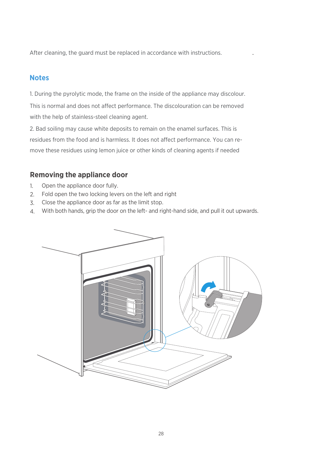After cleaning, the guard must be replaced in accordance with instructions. .

#### **Notes**

1. During the pyrolytic mode, the frame on the inside of the appliance may discolour. This is normal and does not affect performance. The discolouration can be removed with the help of stainless-steel cleaning agent.

2. Bad soiling may cause white deposits to remain on the enamel surfaces. This is residues from the food and is harmless. It does not affect performance. You can remove these residues using lemon juice or other kinds of cleaning agents if needed

#### **Removing the appliance door**

- Open the appliance door fully. 1.
- Fold open the two locking levers on the left and right 2.
- Close the appliance door as far as the limit stop. 3.
- With both hands, grip the door on the left- and right-hand side, and pull it out upwards. 4.

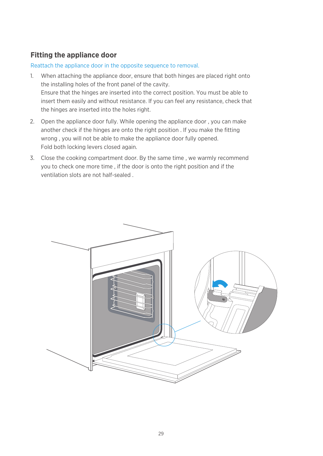#### **Fitting the appliance door**

#### Reattach the appliance door in the opposite sequence to removal.

- When attaching the appliance door, ensure that both hinges are placed right onto 1. the installing holes of the front panel of the cavity. Ensure that the hinges are inserted into the correct position. You must be able to insert them easily and without resistance. If you can feel any resistance, check that the hinges are inserted into the holes right.
- Open the appliance door fully. While opening the appliance door , you can make 2. another check if the hinges are onto the right position . If you make the fitting wrong , you will not be able to make the appliance door fully opened. Fold both locking levers closed again.
- Close the cooking compartment door. By the same time , we warmly recommend 3.you to check one more time , if the door is onto the right position and if the ventilation slots are not half-sealed .

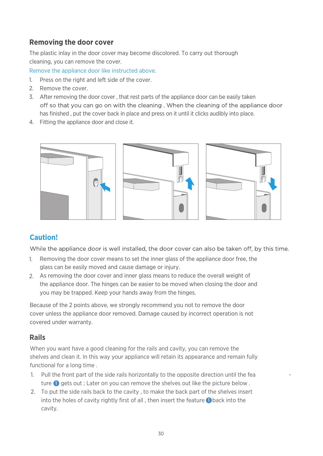#### **Removing the door cover**

The plastic inlay in the door cover may become discolored. To carry out thorough cleaning, you can remove the cover.

Remove the appliance door like instructed above.

- Press on the right and left side of the cover. 1.
- 2. Remove the cover.
- After removing the door cover , that rest parts of the appliance door can be easily taken 3. off so that you can go on with the cleaning. When the cleaning of the appliance door has finished , put the cover back in place and press on it until it clicks audibly into place.
- Fitting the appliance door and close it. 4.



#### **Caution!**

While the appliance door is well installed, the door cover can also be taken off, by this time.

- 1. Removing the door cover means to set the inner glass of the appliance door free, the glass can be easily moved and cause damage or injury.
- As removing the door cover and inner glass means to reduce the overall weight of 2. the appliance door. The hinges can be easier to be moved when closing the door and you may be trapped. Keep your hands away from the hinges.

Because of the 2 points above, we strongly recommend you not to remove the door cover unless the appliance door removed. Damage caused by incorrect operation is not covered under warranty.

#### **Rails**

When you want have a good cleaning for the rails and cavity, you can remove the shelves and clean it. In this way your appliance will retain its appearance and remain fully functional for a long time .

- 1. Pull the front part of the side rails horizontally to the opposite direction until the fea  $$ ture  $\bigcirc$  gets out ; Later on you can remove the shelves out like the picture below.
- To put the side rails back to the cavity , to make the back part of the shelves insert 2. into the holes of cavity rightly first of all, then insert the feature  $\bigcirc$  back into the cavity.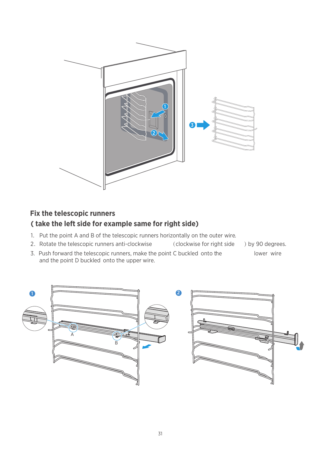

### **Fix the telescopic runners ( take the left side for example same for right side)**

- 1. Put the point A and B of the telescopic runners horizontally on the outer wire.
- 2. Rotate the telescopic runners anti-clockwise (clockwise for right side )by 90 degrees.
- 
- 3. Push forward the telescopic runners, make the point C buckled onto the lower wire and the point D buckled onto the upper wire.
	-

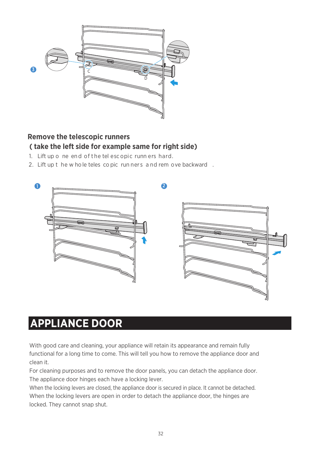

#### **Remove the telescopic runners ( take the left side for example same for right side)**

- 1. Lift up o ne end of the tel escopic runn ers hard.
- 2. Lift up the whole teles copic runners and rem ove backward.



### **APPLIANCE DOOR**

With good care and cleaning, your appliance will retain its appearance and remain fully functional for a long time to come. This will tell you how to remove the appliance door and clean it.

For cleaning purposes and to remove the door panels, you can detach the appliance door. The appliance door hinges each have a locking lever.

When the locking levers are closed, the appliance door is secured in place. It cannot be detached. When the locking levers are open in order to detach the appliance door, the hinges are locked. They cannot snap shut.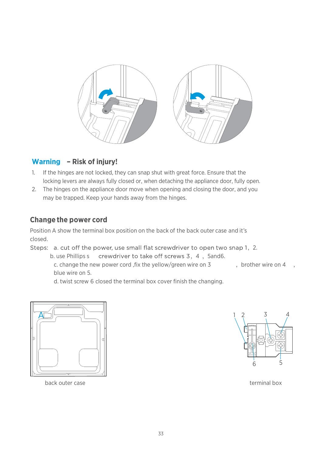

#### **Warning – Risk of injury!**

- If the hinges are not locked, they can snap shut with great force. Ensure that the 1. locking levers are always fully closed or, when detaching the appliance door, fully open.
- The hinges on the appliance door move when opening and closing the door, and you 2.may be trapped. Keep your hands away from the hinges.

#### **Change the power cord**

Position A show the terminal box position on the back of the back outer case and it's closed.

Steps: a. cut off the power, use small flat screwdriver to open two snap 1, 2.

b. use Phillips s crewdriver to take off screws 3, 4, 5and6.

c. change the new power cord , fix the yellow/green wire on  $3$ , brother wire on  $4$ blue wire on 5.

d. twist screw 6 closed the terminal box cover finish the changing.



back outer case terminal box

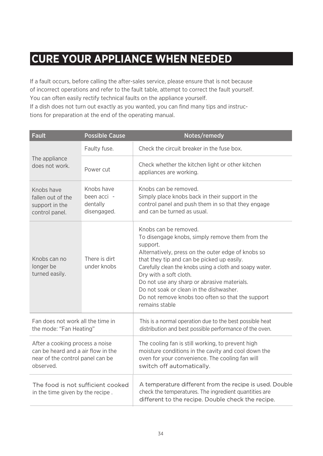### **CURE YOUR APPLIANCE WHEN NEEDED**

If a fault occurs, before calling the after-sales service, please ensure that is not because of incorrect operations and refer to the fault table, attempt to correct the fault yourself. You can often easily rectify technical faults on the appliance yourself. If a dish does not turn out exactly as you wanted, you can find many tips and instructions for preparation at the end of the operating manual.

| <b>Fault</b>                                                                                                           | <b>Possible Cause</b>                                | Notes/remedy                                                                                                                                                                                                                                                                                                                                                                                                                                    |
|------------------------------------------------------------------------------------------------------------------------|------------------------------------------------------|-------------------------------------------------------------------------------------------------------------------------------------------------------------------------------------------------------------------------------------------------------------------------------------------------------------------------------------------------------------------------------------------------------------------------------------------------|
|                                                                                                                        | Faulty fuse.                                         | Check the circuit breaker in the fuse box.                                                                                                                                                                                                                                                                                                                                                                                                      |
| The appliance<br>does not work.                                                                                        | Power cut                                            | Check whether the kitchen light or other kitchen<br>appliances are working.                                                                                                                                                                                                                                                                                                                                                                     |
| Knobs have<br>fallen out of the<br>support in the<br>control panel.                                                    | Knobs have<br>been acci -<br>dentally<br>disengaged. | Knobs can be removed.<br>Simply place knobs back in their support in the<br>control panel and push them in so that they engage<br>and can be turned as usual.                                                                                                                                                                                                                                                                                   |
| Knobs can no<br>longer be<br>turned easily.                                                                            | There is dirt<br>under knobs                         | Knobs can be removed.<br>To disengage knobs, simply remove them from the<br>support.<br>Alternatively, press on the outer edge of knobs so<br>that they tip and can be picked up easily.<br>Carefully clean the knobs using a cloth and soapy water.<br>Dry with a soft cloth.<br>Do not use any sharp or abrasive materials.<br>Do not soak or clean in the dishwasher.<br>Do not remove knobs too often so that the support<br>remains stable |
| Fan does not work all the time in<br>the mode: "Fan Heating"                                                           |                                                      | This is a normal operation due to the best possible heat<br>distribution and best possible performance of the oven.                                                                                                                                                                                                                                                                                                                             |
| After a cooking process a noise<br>can be heard and a air flow in the<br>near of the control panel can be<br>observed. |                                                      | The cooling fan is still working, to prevent high<br>moisture conditions in the cavity and cool down the<br>oven for your convenience. The cooling fan will<br>switch off automatically.                                                                                                                                                                                                                                                        |
| The food is not sufficient cooked<br>in the time given by the recipe.                                                  |                                                      | A temperature different from the recipe is used. Double<br>check the temperatures. The ingredient quantities are<br>different to the recipe. Double check the recipe.                                                                                                                                                                                                                                                                           |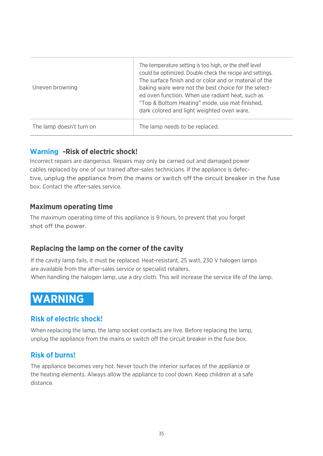| Uneven browning          | The temperature setting is too high, or the shelf level<br>could be optimized. Double check the recipe and settings.<br>The surface finish and or color and or material of the<br>baking ware were not the best choice for the select-<br>ed oven function. When use radiant heat, such as<br>"Top & Bottom Heating" mode, use mat finished,<br>dark colored and light weighted oven ware. |
|--------------------------|--------------------------------------------------------------------------------------------------------------------------------------------------------------------------------------------------------------------------------------------------------------------------------------------------------------------------------------------------------------------------------------------|
| The lamp doesn't turn on | The lamp needs to be replaced.                                                                                                                                                                                                                                                                                                                                                             |

#### **Warning -Risk of electric shock!**

Incorrect repairs are dangerous. Repairs may only be carried out and damaged power cables replaced by one of our trained after-sales technicians. If the appliance is defective, unplug the appliance from the mains or switch off the circuit breaker in the fuse box. Contact the after-sales service.

#### **Maximum operating time**

The maximum operating time of this appliance is 9 hours, to prevent that you forget shot off the power.

#### **Replacing the lamp on the corner of the cavity**

If the cavity lamp fails, it must be replaced. Heat-resistant, 25 watt, 230 V halogen lamps are available from the after-sales service or specialist retailers. When handling the halogen lamp, use a dry cloth. This will increase the service life of the lamp.

### **WARNING**

#### **Risk of electric shock!**

When replacing the lamp, the lamp socket contacts are live. Before replacing the lamp, unplug the appliance from the mains or switch off the circuit breaker in the fuse box.

#### **Risk of burns!**

The appliance becomes very hot. Never touch the interior surfaces of the appliance or the heating elements. Always allow the appliance to cool down. Keep children at a safe distance.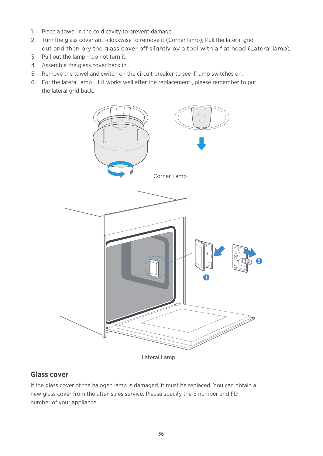- Place a towel in the cold cavity to prevent damage. 1.
- Turn the glass cover anti-clockwise to remove it (Corner lamp); Pull the lateral grid 2. out and then pry the glass cover off slightly by a tool with a flat head (Lateral lamp).
- 3. Pull out the lamp do not turn it.
- 4. Assemble the glass cover back in.
- 5. Remove the towel and switch on the circuit breaker to see if lamp switches on.
- 6. For the lateral lamp, if it works well after the replacement, please remember to put the lateral grid back.



#### **Glass cover**

If the glass cover of the halogen lamp is damaged, it must be replaced. You can obtain a new glass cover from the after-sales service. Please specify the E number and FD number of your appliance.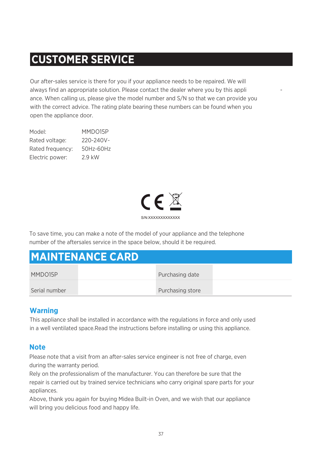### **CUSTOMER SERVICE**

Our after-sales service is there for you if your appliance needs to be repaired. We will always find an appropriate solution. Please contact the dealer where you by this appli ance. When calling us, please give the model number and S/N so that we can provide you with the correct advice. The rating plate bearing these numbers can be found when you open the appliance door.

Model: Rated voltage: Rated frequency: Electric power: MMDO15P 220-240V~ 50Hz-60Hz 2.9 kW



To save time, you can make a note of the model of your appliance and the telephone number of the aftersales service in the space below, should it be required.

|  | <b>MAINTENANCE CARD</b> |  |
|--|-------------------------|--|
|  |                         |  |

| MMDO15P       | Purchasing date  |  |
|---------------|------------------|--|
| Serial number | Purchasing store |  |

#### **Warning**

This appliance shall be installed in accordance with the regulations in force and only used in a well ventilated space.Read the instructions before installing or using this appliance.

#### **Note**

Please note that a visit from an after-sales service engineer is not free of charge, even during the warranty period.

Rely on the professionalism of the manufacturer. You can therefore be sure that the repair is carried out by trained service technicians who carry original spare parts for your appliances.

Above, thank you again for buying Midea Built-in Oven, and we wish that our appliance will bring you delicious food and happy life.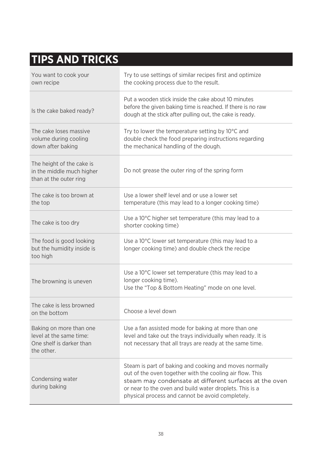## **TIPS AND TRICKS**

| You want to cook your<br>own recipe                                                          | Try to use settings of similar recipes first and optimize<br>the cooking process due to the result.                                                                                                                                                                                         |
|----------------------------------------------------------------------------------------------|---------------------------------------------------------------------------------------------------------------------------------------------------------------------------------------------------------------------------------------------------------------------------------------------|
| Is the cake baked ready?                                                                     | Put a wooden stick inside the cake about 10 minutes<br>before the given baking time is reached. If there is no raw<br>dough at the stick after pulling out, the cake is ready.                                                                                                              |
| The cake loses massive<br>volume during cooling<br>down after baking                         | Try to lower the temperature setting by 10°C and<br>double check the food preparing instructions regarding<br>the mechanical handling of the dough.                                                                                                                                         |
| The height of the cake is<br>in the middle much higher<br>than at the outer ring             | Do not grease the outer ring of the spring form                                                                                                                                                                                                                                             |
| The cake is too brown at<br>the top                                                          | Use a lower shelf level and or use a lower set<br>temperature (this may lead to a longer cooking time)                                                                                                                                                                                      |
| The cake is too dry                                                                          | Use a 10°C higher set temperature (this may lead to a<br>shorter cooking time)                                                                                                                                                                                                              |
| The food is good looking<br>but the humidity inside is<br>too high                           | Use a 10°C lower set temperature (this may lead to a<br>longer cooking time) and double check the recipe                                                                                                                                                                                    |
| The browning is uneven                                                                       | Use a 10°C lower set temperature (this may lead to a<br>longer cooking time).<br>Use the "Top & Bottom Heating" mode on one level.                                                                                                                                                          |
| The cake is less browned<br>on the bottom                                                    | Choose a level down                                                                                                                                                                                                                                                                         |
| Baking on more than one<br>level at the same time:<br>One shelf is darker than<br>the other. | Use a fan assisted mode for baking at more than one<br>level and take out the trays individually when ready. It is<br>not necessary that all trays are ready at the same time.                                                                                                              |
| Condensing water<br>during baking                                                            | Steam is part of baking and cooking and moves normally<br>out of the oven together with the cooling air flow. This<br>steam may condensate at different surfaces at the oven<br>or near to the oven and build water droplets. This is a<br>physical process and cannot be avoid completely. |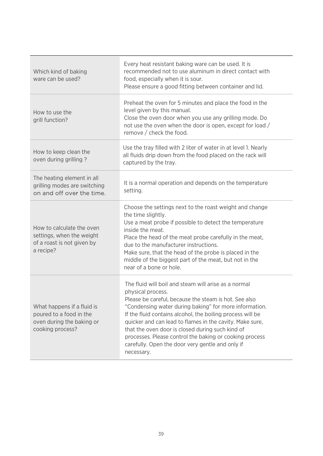| Which kind of baking<br>ware can be used?                                                              | Every heat resistant baking ware can be used. It is<br>recommended not to use aluminum in direct contact with<br>food, especially when it is sour.<br>Please ensure a good fitting between container and lid.                                                                                                                                                                                                                                                                                           |
|--------------------------------------------------------------------------------------------------------|---------------------------------------------------------------------------------------------------------------------------------------------------------------------------------------------------------------------------------------------------------------------------------------------------------------------------------------------------------------------------------------------------------------------------------------------------------------------------------------------------------|
| How to use the<br>grill function?                                                                      | Preheat the oven for 5 minutes and place the food in the<br>level given by this manual.<br>Close the oven door when you use any grilling mode. Do<br>not use the oven when the door is open, except for load /<br>remove / check the food.                                                                                                                                                                                                                                                              |
| How to keep clean the<br>oven during grilling?                                                         | Use the tray filled with 2 liter of water in at level 1. Nearly<br>all fluids drip down from the food placed on the rack will<br>captured by the tray.                                                                                                                                                                                                                                                                                                                                                  |
| The heating element in all<br>grilling modes are switching<br>on and off over the time.                | It is a normal operation and depends on the temperature<br>setting.                                                                                                                                                                                                                                                                                                                                                                                                                                     |
| How to calculate the oven<br>settings, when the weight<br>of a roast is not given by<br>a recipe?      | Choose the settings next to the roast weight and change<br>the time slightly.<br>Use a meat probe if possible to detect the temperature<br>inside the meat.<br>Place the head of the meat probe carefully in the meat,<br>due to the manufacturer instructions.<br>Make sure, that the head of the probe is placed in the<br>middle of the biggest part of the meat, but not in the<br>near of a bone or hole.                                                                                          |
| What happens if a fluid is<br>poured to a food in the<br>oven during the baking or<br>cooking process? | The fluid will boil and steam will arise as a normal<br>physical process.<br>Please be careful, because the steam is hot. See also<br>"Condensing water during baking" for more information.<br>If the fluid contains alcohol, the boiling process will be<br>quicker and can lead to flames in the cavity. Make sure,<br>that the oven door is closed during such kind of<br>processes. Please control the baking or cooking process<br>carefully. Open the door very gentle and only if<br>necessary. |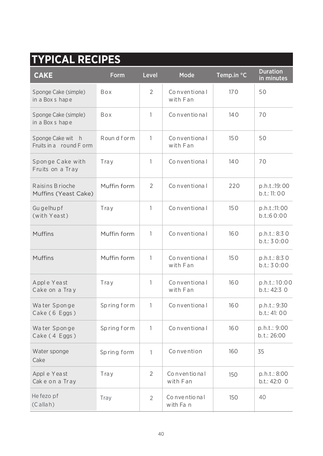#### **TYPICAL RECIPES CAKE** Form Level Mode Temp.in °C Duration in minutes  $\overline{2}$ Co nven tiona l Sponge Cake (simple) Box 170 50 in a Box s hap e with Fan Sponge Cake (simple) Box 1 Co nven tio na  $\vert$  140  $\vert$  70 140 in a Box s hap e Roun d f or  $m \mid 1 \mid$  Co n ven tional Sponge Cake wit h 1 150 50 Fruits in a round F orm with Fan Spon ge C ake with Tray 1 | Conventional 1 140 70 Fruits on a Tray Raisins B rioche Muffin form 2 Conventional 220 p.h.t.:19:00 2 Co nven tiona l 220 Muffins (Yeast Cake) b.t.: 11: 00 Gu gelhu pf 1 150 Tray 1 | Conventional | 150 | p.h.t.:11:00 (with Yea st) b.t.:6 0:00 **Muffins** Muffin form Co nven tiona l 1 160 p.h.t.: 8:3 0 b.t.: 3 0:00 **Muffins** Muffin form 1 Co nven tiona l 150 p.h.t.: 8:3 0 with Fan b.t.: 3 0:00 Appl e Yea st 1 160 Tray 1 | Conventiona | 160 | p.h.t.:10:00 Cake on a Tra y with Fan b.t.: 42:3 0 Wa ter Spon ge Sp ring f or m 1 Co nven tiona l 160 p.h.t.: 9:30 Cake ( 6 Eggs ) b.t.: 41: 00 Wa ter Spon ge Sp ring f or m 1 Co nven tiona l 160 Cake ( 4 Eggs )

| Water Sponge<br>Cake (4 Eggs)  | Spring form |               | Conventional                   | 160 | p.h.t.: 9:00<br>b.t.: 26:00  |
|--------------------------------|-------------|---------------|--------------------------------|-----|------------------------------|
| Water sponge<br>Cake           | Spring form |               | Convention                     | 160 | 35                           |
| Appl e Yeast<br>Cake on a Tray | Tray        | $\mathcal{P}$ | Co nventional<br>with Fan      | 150 | p.h.t.: 8:00<br>b.t.: 42:0 0 |
| He fezo pf<br>$(C$ allah)      | Tray        | $\mathcal{P}$ | Co n ve ntio na l<br>with Fa n | 150 | 40                           |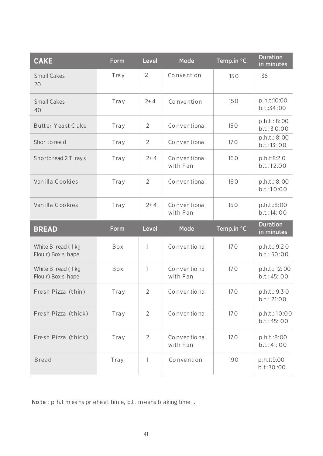| <b>CAKE</b>                             | <b>Form</b> | Level          | Mode                     | Temp.in °C | <b>Duration</b><br>in minutes |
|-----------------------------------------|-------------|----------------|--------------------------|------------|-------------------------------|
| <b>Small Cakes</b><br>20                | Tray        | $\overline{2}$ | Convention               | 150        | 36                            |
| <b>Small Cakes</b><br>40                | Tray        | $2+4$          | Convention               | 150        | p.h.t:10:00<br>b.t.:34:00     |
| Butter Yeast Cake                       | Tray        | 2              | Conventional             | 150        | p.h.t.: 8:00<br>b.t.: 30:00   |
| Shor thread                             | Tray        | $\overline{2}$ | Conventional             | 170        | p.h.t.: 8:00<br>b.t.: 13: 00  |
| Shortbread 2 T rays                     | Tray        | $2+4$          | Conventional<br>with Fan | 160        | p.h.t:8:20<br>b.t.: 12:00     |
| Van illa Cookies                        | Tray        | $\mathcal{P}$  | Conventional             | 160        | p.h.t.: 8:00<br>b.t.: 10:00   |
| Van illa Cookies                        | Tray        | $2 + 4$        | Conventional<br>with Fan | 150        | p.h.t.:8:00<br>b.t.: 14:00    |
|                                         |             |                |                          |            |                               |
| <b>BREAD</b>                            | <b>Form</b> | Level          | Mode                     | Temp.in °C | <b>Duration</b><br>in minutes |
| White B read (1 kg<br>Flour) Box s hape | Box         | $\mathbf{1}$   | Co n ven tio nal         | 170        | p.h.t.: 9:20<br>b.t.: 50:00   |
| White B read (1kg<br>Flou r) Box s hape | Box         | 1              | Conventional<br>with Fan | 170        | p.h.t.: 12:00<br>b.t.: 45: 00 |
| Fresh Pizza (thin)                      | Tray        | $\overline{2}$ | Conventional             | 170        | p.h.t.: 9:30<br>b.t.: 21:00   |
| Fresh Pizza (thick)                     | Tray        | $\overline{2}$ | Conventional             | 170        | p.h.t.: 10:00<br>b.t.: 45: 00 |
| Fresh Pizza (thick)                     | Tray        | $\overline{2}$ | Conventional<br>with Fan | 170        | p.h.t.:8:00<br>b.t.: 41: 00   |

No te : p. h.t m eans pr ehe at tim e, b.t . m eans b aking time .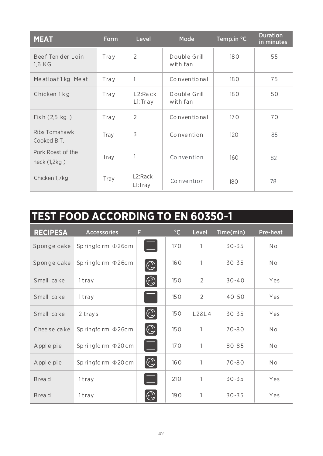| <b>MEAT</b>                       | <b>Form</b> | Level                           | Mode                     | Temp.in °C | <b>Duration</b><br>in minutes |
|-----------------------------------|-------------|---------------------------------|--------------------------|------------|-------------------------------|
| Beef Ten der Loin<br>1.6 KG       | Tray        | $\overline{2}$                  | Double Grill<br>with fan | 180        | 55                            |
| Meatloaf1kg Meat                  | Tray        | 1                               | Conventional             | 180        | 75                            |
| Chicken 1kg                       | Tray        | L2:Rack<br>L1:Tray              | Double Grill<br>with fan | 180        | 50                            |
| Fish (2,5 kg)                     | Tray        | $\overline{2}$                  | Co nventional            | 170        | 70                            |
| Ribs Tomahawk<br>Cooked B.T.      | Tray        | 3                               | Convention               | 120        | 85                            |
| Pork Roast of the<br>neck (1,2kg) | Tray        | 1                               | Convention               | 160        | 82                            |
| Chicken 1,7kg                     | Tray        | L <sub>2</sub> :Rack<br>L1:Tray | Convention               | 180        | 78                            |

| <b>TEST FOOD ACCORDING TO EN 60350-1</b> |                         |                |              |                |           |                 |  |
|------------------------------------------|-------------------------|----------------|--------------|----------------|-----------|-----------------|--|
| <b>RECIPESA</b>                          | <b>Accessories</b>      | F              | $^{\circ}$ C | Level          | Time(min) | <b>Pre-heat</b> |  |
| Sponge cake                              | Springform $\Phi$ 26cm  |                | 170          | 1              | $30 - 35$ | <b>No</b>       |  |
| Sponge cake                              | Springform $\Phi$ 26cm  | $\odot$        | 160          | 1              | $30 - 35$ | N <sub>o</sub>  |  |
| Small cake                               | 1tray                   | $  \copyright$ | 150          | $\overline{2}$ | $30 - 40$ | Yes             |  |
| Small cake                               | 1tray                   |                | 150          | 2              | $40 - 50$ | Yes             |  |
| Small cake                               | 2 trays                 | $\odot$        | 150          | L28L4          | $30 - 35$ | Yes             |  |
| Chee se cake                             | Springform $\Phi$ 26cm  | $ \odot$       | 150          | 1              | $70 - 80$ | No              |  |
| Apple pie                                | Springform $\Phi$ 20 cm |                | 170          | 1              | $80 - 85$ | N <sub>o</sub>  |  |
| Apple pie                                | Springform $\Phi$ 20 cm | $ \odot$       | 160          | 1              | $70 - 80$ | N <sub>o</sub>  |  |
| Brea d                                   | 1tray                   |                | 210          | 1              | $30 - 35$ | Yes             |  |
| Brea d                                   | 1tray                   | $\mathbb{C}$   | 190          | 1              | $30 - 35$ | Yes             |  |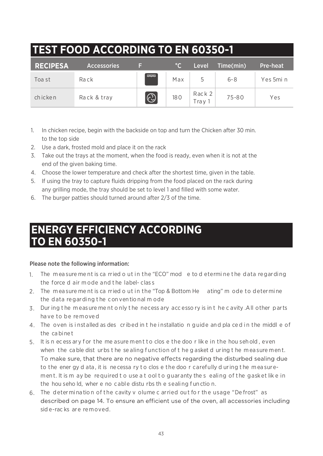| <b>TEST FOOD ACCORDING TO EN 60350-1</b> |                    |                |              |                 |           |                 |  |  |
|------------------------------------------|--------------------|----------------|--------------|-----------------|-----------|-----------------|--|--|
| <b>RECIPESA</b>                          | <b>Accessories</b> | E              | $^{\circ}$ C | Level           | Time(min) | <b>Pre-heat</b> |  |  |
| Toa st                                   | Rack               | $-\frac{1}{2}$ | Max          |                 | $6 - 8$   | Yes 5min        |  |  |
| chicken                                  | Rack & tray        | $\odot$        | 180          | Rack 2<br>Trav1 | 75-80     | Yes             |  |  |

- 1. In chicken recipe, begin with the backside on top and turn the Chicken after 30 min. to the top side
- Use a dark, frosted mold and place it on the rack 2.
- Take out the trays at the moment, when the food is ready, even when it is not at the 3. end of the given baking time.
- Choose the lower temperature and check after the shortest time, given in the table. 4.
- 5. If using the tray to capture fluids dripping from the food placed on the rack during any grilling mode, the tray should be set to level 1 and filled with some water.
- The burger patties should turned around after 2/3 of the time. 6.

### **ENERGY EFFICIENCY ACCORDING TO EN 60350-1**

#### Please note the following information:

- The m ea sure me nt is ca rried o ut in the "ECO" mod e to d etermi ne t he data regarding 1. the force d air m ode and t he label- clas s
- The m ea sure me nt is ca rried o ut in the "Top & Bottom He ating" m ode to determi ne 2. the data regarding t he con ven tio nal m ode
- Dur ing t he m eas ure me nt o nly t he necess ary acc esso ry is in t he c avity .All other parts 3. ha ve to be remove d
- 4. The oven is installed as des cribed in the installation guide and pla ced in the middle of the ca bine t
- 5. It is n ecess ary for the me asure ment to clos e the doorlike in the hou sehold, even when the cable dist urbs the sealing function of the gasket d uring the measure ment. To make sure, that there are no negative effects regarding the disturbed sealing due to the ener gy d ata, it is necessa ry to clos e the doo r carefully d uring the measurement. It is m ay be required to use a t ool to guaranty the s ealing of the gasket like in the hou seho ld, wher e no c able distu rbs th e sealing f un ctio n.
- 6. The determination of the cavity v olume c arried out for the usage "Defrost" as described on page 14. To ensure an efficient use of the oven, all accessories including sid e-rac ks are removed.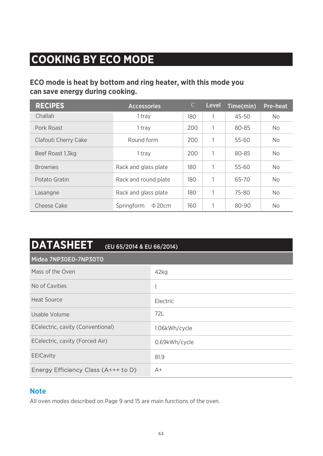## **COOKING BY ECO MODE**

#### **ECO mode is heat by bottom and ring heater, with this mode you can save energy during cooking.**

| <b>RECIPES</b>       | <b>Accessories</b>        | $\overline{C}$ | Level | Time(min) | <b>Pre-heat</b> |
|----------------------|---------------------------|----------------|-------|-----------|-----------------|
| Challah              | 1 tray                    | 180            |       | $45 - 50$ | No.             |
| Pork Roast           | 1 tray                    | 200            | 1     | 80-85     | No.             |
| Clafouti Cherry Cake | Round form                | 200            | 1     | 55-60     | No.             |
| Beef Roast 1.3kg     | 1 trav                    | 200            | 1     | 80-85     | No.             |
| <b>Brownies</b>      | Rack and glass plate      | 180            | 1     | 55-60     | No.             |
| Potato Gratin        | Rack and round plate      | 180            |       | 65-70     | No              |
| Lasangne             | Rack and glass plate      | 180            |       | 75-80     | No.             |
| Cheese Cake          | Springform<br>$\Phi$ 20cm | 160            |       | 80-90     | No              |

| <b>DATASHEET</b><br>(EU 65/2014 & EU 66/2014) |               |
|-----------------------------------------------|---------------|
| Midea 7NP30E0-7NP30T0                         |               |
| Mass of the Oven                              | 42kg          |
| No of Cavities                                |               |
| Heat Source                                   | Electric      |
| Usable Volume                                 | 72L           |
| ECelectric, cavity (Conventional)             | 1.06kWh/cycle |
| ECelectric, cavity (Forced Air)               | 0.69kWh/cycle |
| <b>EEICavity</b>                              | 81.9          |
| Energy Efficiency Class (A+++ to D)           | $A+$          |

#### **Note**

All oven modes described on Page 9 and 15 are main functions of the oven.